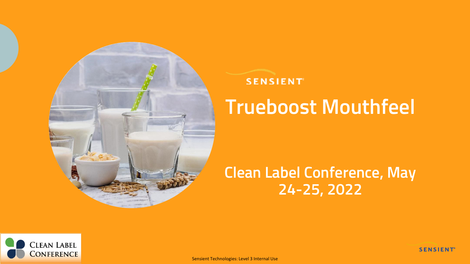

#### **SENSIENT**

# **Trueboost Mouthfeel**

### **Clean Label Conference, May 24-25, 2022**

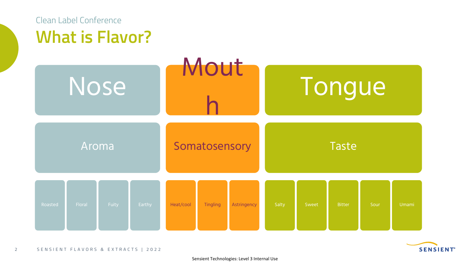

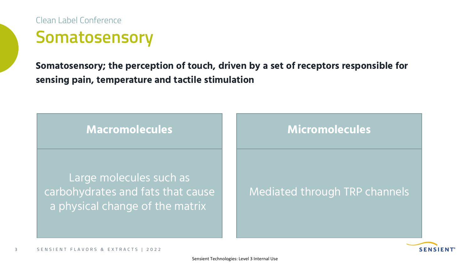**Somatosensory** Clean Label Conference

**Somatosensory; the perception of touch, driven by a set of receptors responsible for sensing pain, temperature and tactile stimulation**



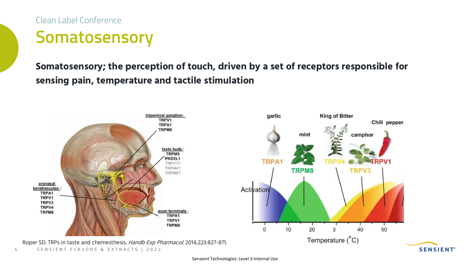**Somatosensory** Clean Label Conference

**Somatosensory; the perception of touch, driven by a set of receptors responsible for sensing pain, temperature and tactile stimulation**



Sensient Technologies: Level 3 Internal Use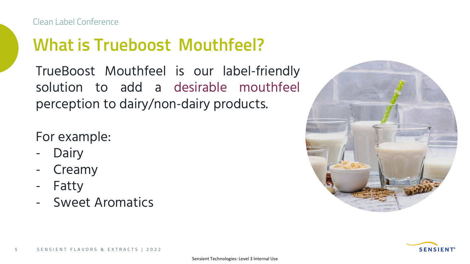# **What is Trueboost Mouthfeel?**

TrueBoost Mouthfeel is our label-friendly solution to add a desirable mouthfeel perception to dairy/non-dairy products.

For example:

- **Dairy**
- Creamy
- **Fatty**
- Sweet Aromatics



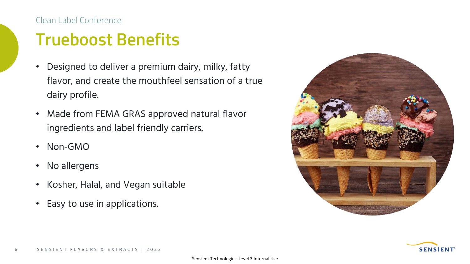#### Clean Label Conference

## **Trueboost Benefits**

- Designed to deliver a premium dairy, milky, fatty flavor, and create the mouthfeel sensation of a true dairy profile.
- Made from FEMA GRAS approved natural flavor ingredients and label friendly carriers.
- Non-GMO
- No allergens
- Kosher, Halal, and Vegan suitable
- Easy to use in applications.



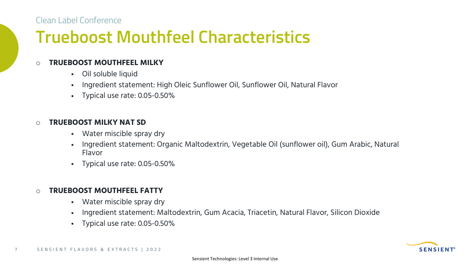Clean Label Conference

## **Trueboost Mouthfeel Characteristics**

#### o **TRUEBOOST MOUTHFEEL MILKY**

- Oil soluble liquid
- Ingredient statement: High Oleic Sunflower Oil, Sunflower Oil, Natural Flavor
- Typical use rate: 0.05-0.50%

#### o **TRUEBOOST MILKY NAT SD**

- Water miscible spray dry
- Ingredient statement: Organic Maltodextrin, Vegetable Oil (sunflower oil), Gum Arabic, Natural Flavor
- Typical use rate: 0.05-0.50%

#### o **TRUEBOOST MOUTHFEEL FATTY**

- Water miscible spray dry
- Ingredient statement: Maltodextrin, Gum Acacia, Triacetin, Natural Flavor, Silicon Dioxide
- Typical use rate: 0.05-0.50%

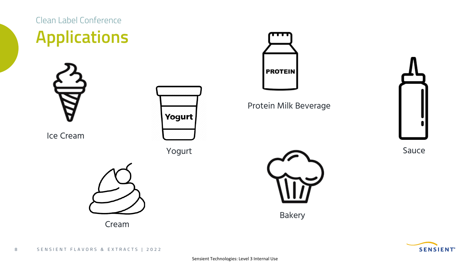

Sauce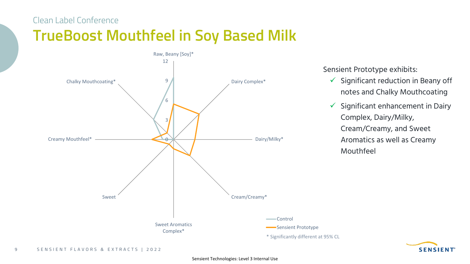#### Clean Label Conference

### **TrueBoost Mouthfeel in Soy Based Milk**



Sensient Prototype exhibits:

- $\checkmark$  Significant reduction in Beany off notes and Chalky Mouthcoating
- $\checkmark$  Significant enhancement in Dairy Complex, Dairy/Milky, Cream/Creamy, and Sweet Aromatics as well as Creamy Mouthfeel

**SENSIENT**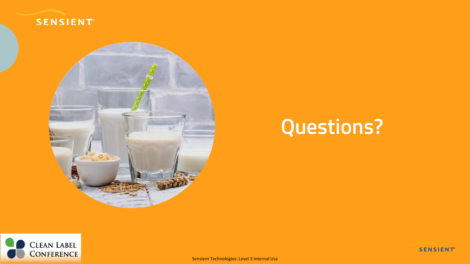



# **Questions?**



Sensient Technologies: Level 3 Internal Use